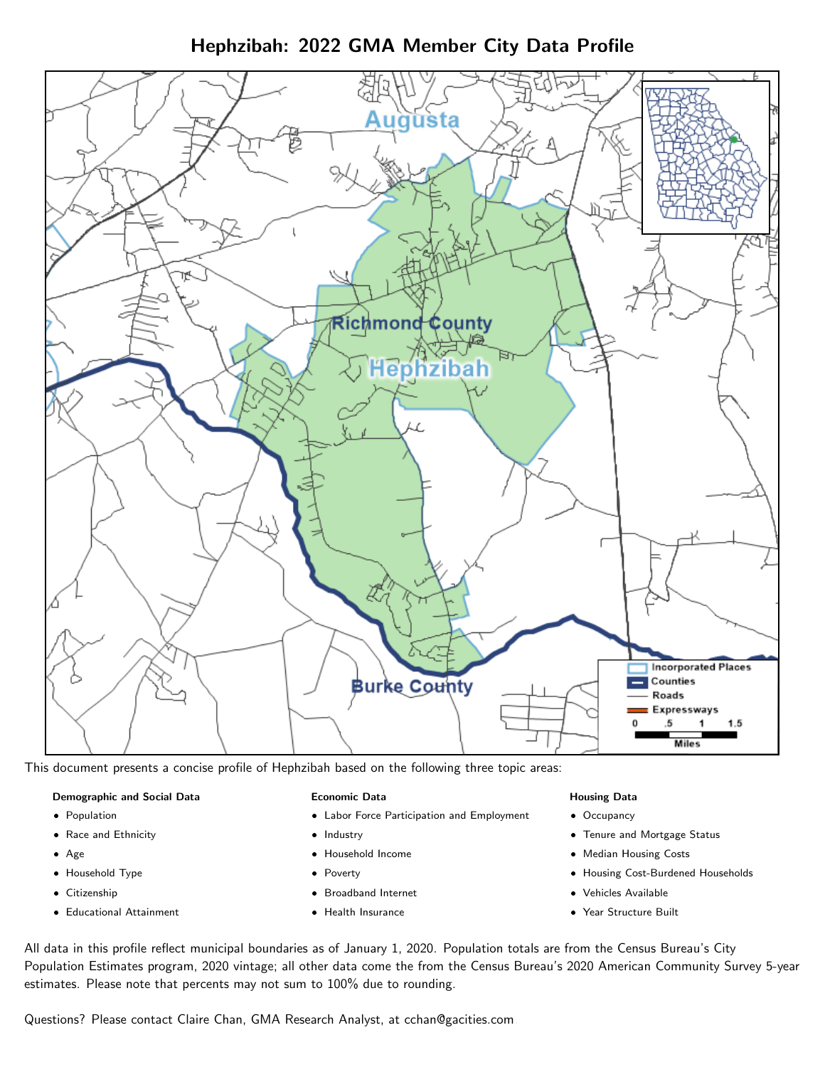Hephzibah: 2022 GMA Member City Data Profile



This document presents a concise profile of Hephzibah based on the following three topic areas:

#### Demographic and Social Data

- **•** Population
- Race and Ethnicity
- Age
- Household Type
- **Citizenship**
- Educational Attainment

#### Economic Data

- Labor Force Participation and Employment
- Industry
- Household Income
- Poverty
- Broadband Internet
- Health Insurance

#### Housing Data

- Occupancy
- Tenure and Mortgage Status
- Median Housing Costs
- Housing Cost-Burdened Households
- Vehicles Available
- Year Structure Built

All data in this profile reflect municipal boundaries as of January 1, 2020. Population totals are from the Census Bureau's City Population Estimates program, 2020 vintage; all other data come the from the Census Bureau's 2020 American Community Survey 5-year estimates. Please note that percents may not sum to 100% due to rounding.

Questions? Please contact Claire Chan, GMA Research Analyst, at [cchan@gacities.com.](mailto:cchan@gacities.com)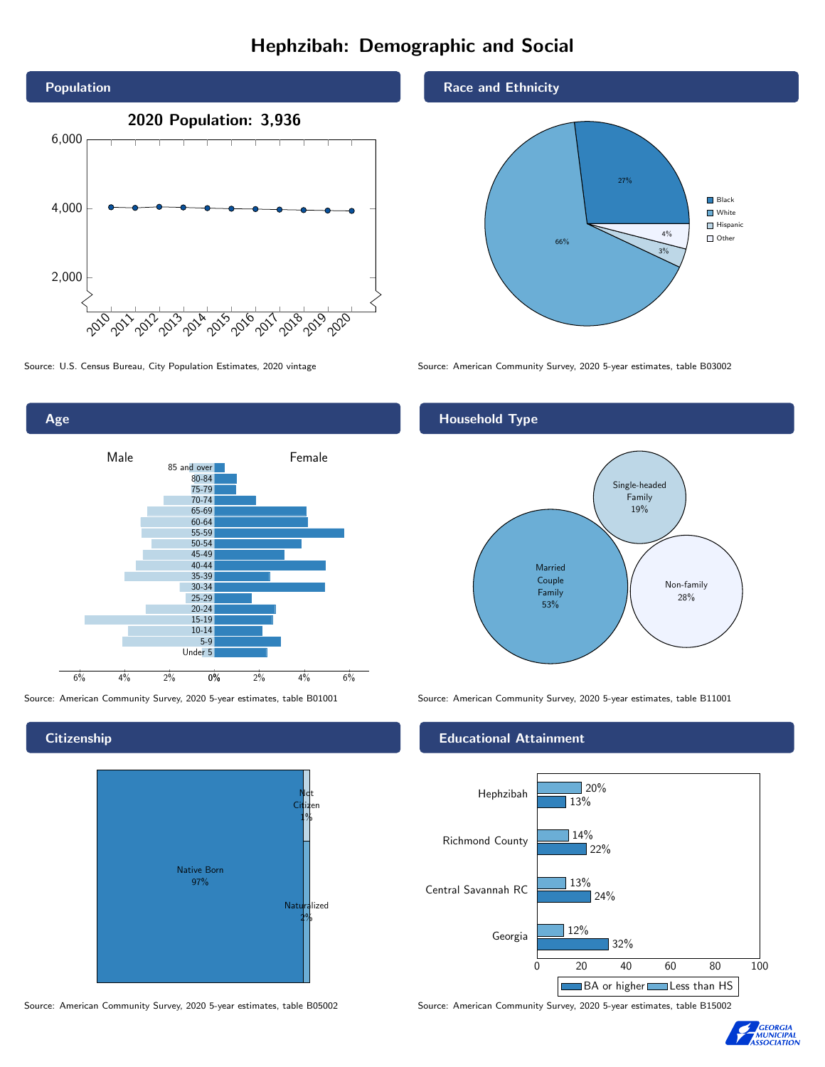# Hephzibah: Demographic and Social





**Citizenship** 



Race and Ethnicity



Source: U.S. Census Bureau, City Population Estimates, 2020 vintage Source: American Community Survey, 2020 5-year estimates, table B03002

### Household Type



Source: American Community Survey, 2020 5-year estimates, table B01001 Source: American Community Survey, 2020 5-year estimates, table B11001

#### Educational Attainment



Source: American Community Survey, 2020 5-year estimates, table B05002 Source: American Community Survey, 2020 5-year estimates, table B15002

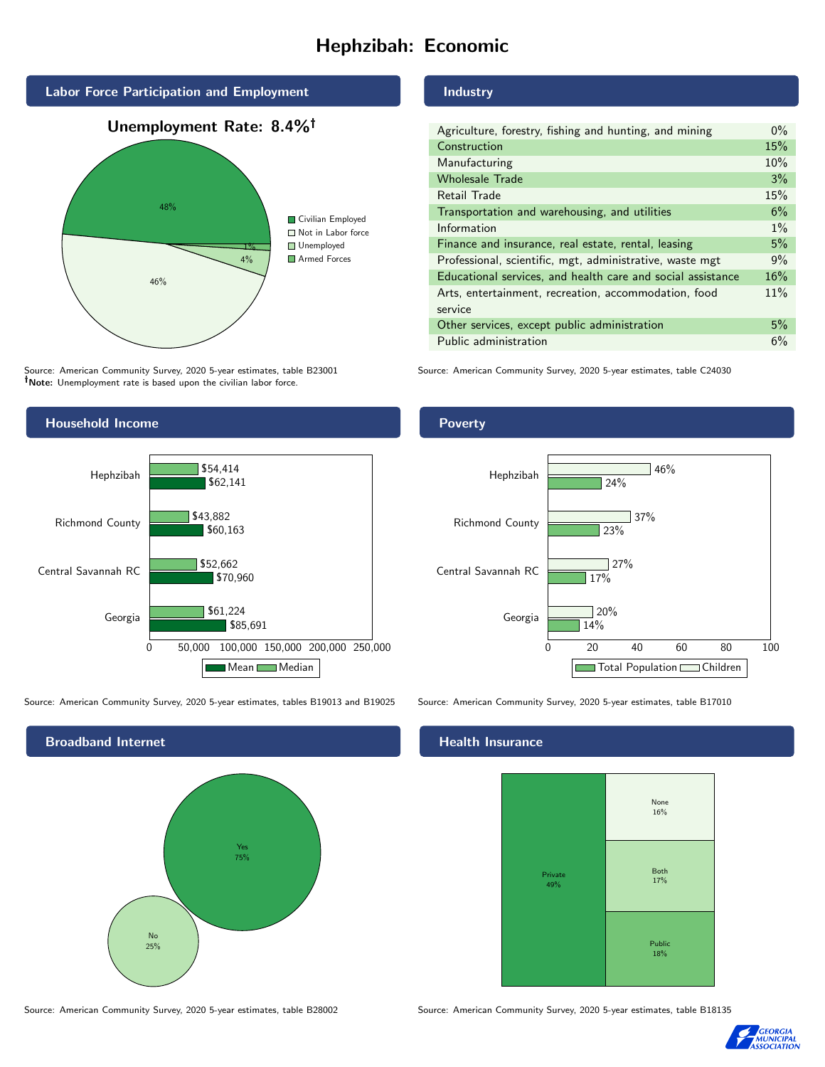# Hephzibah: Economic



Source: American Community Survey, 2020 5-year estimates, table B23001 Note: Unemployment rate is based upon the civilian labor force.

# Industry

| Agriculture, forestry, fishing and hunting, and mining      | $0\%$ |
|-------------------------------------------------------------|-------|
| Construction                                                | 15%   |
| Manufacturing                                               | 10%   |
| <b>Wholesale Trade</b>                                      | 3%    |
| Retail Trade                                                | 15%   |
| Transportation and warehousing, and utilities               | 6%    |
| Information                                                 | $1\%$ |
| Finance and insurance, real estate, rental, leasing         | 5%    |
| Professional, scientific, mgt, administrative, waste mgt    | 9%    |
| Educational services, and health care and social assistance | 16%   |
| Arts, entertainment, recreation, accommodation, food        | 11%   |
| service                                                     |       |
| Other services, except public administration                | 5%    |
| Public administration                                       | 6%    |

Source: American Community Survey, 2020 5-year estimates, table C24030



Source: American Community Survey, 2020 5-year estimates, tables B19013 and B19025 Source: American Community Survey, 2020 5-year estimates, table B17010



#### Health Insurance



Source: American Community Survey, 2020 5-year estimates, table B28002 Source: American Community Survey, 2020 5-year estimates, table B18135



# Poverty